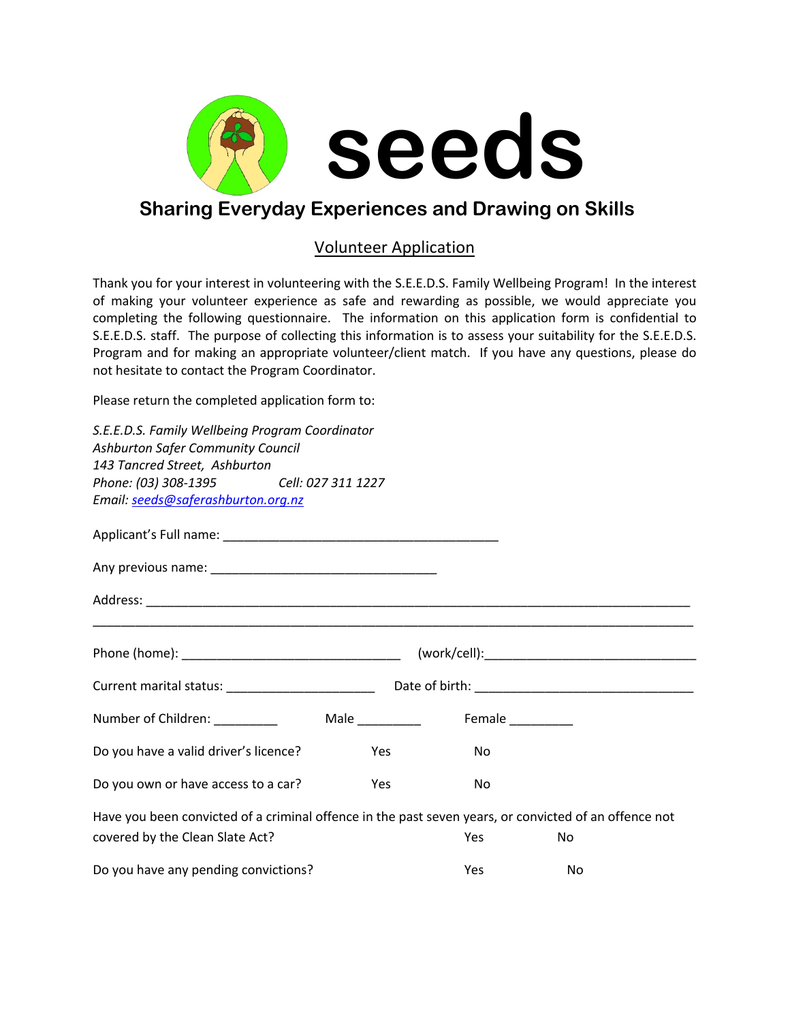

## **Sharing Everyday Experiences and Drawing on Skills**

### Volunteer Application

Thank you for your interest in volunteering with the S.E.E.D.S. Family Wellbeing Program! In the interest of making your volunteer experience as safe and rewarding as possible, we would appreciate you completing the following questionnaire. The information on this application form is confidential to S.E.E.D.S. staff. The purpose of collecting this information is to assess your suitability for the S.E.E.D.S. Program and for making an appropriate volunteer/client match. If you have any questions, please do not hesitate to contact the Program Coordinator.

Please return the completed application form to:

| S.E.E.D.S. Family Wellbeing Program Coordinator                                                                                          |     |                  |    |  |  |  |
|------------------------------------------------------------------------------------------------------------------------------------------|-----|------------------|----|--|--|--|
| <b>Ashburton Safer Community Council</b><br>143 Tancred Street, Ashburton                                                                |     |                  |    |  |  |  |
| Phone: (03) 308-1395 Cell: 027 311 1227<br>Email: seeds@saferashburton.org.nz                                                            |     |                  |    |  |  |  |
|                                                                                                                                          |     |                  |    |  |  |  |
|                                                                                                                                          |     |                  |    |  |  |  |
|                                                                                                                                          |     |                  |    |  |  |  |
|                                                                                                                                          |     |                  |    |  |  |  |
|                                                                                                                                          |     |                  |    |  |  |  |
|                                                                                                                                          |     | Female _________ |    |  |  |  |
| Do you have a valid driver's licence?                                                                                                    | Yes | No               |    |  |  |  |
| Do you own or have access to a car?                                                                                                      | Yes | No               |    |  |  |  |
| Have you been convicted of a criminal offence in the past seven years, or convicted of an offence not<br>covered by the Clean Slate Act? |     | <b>Yes</b>       | No |  |  |  |
| Do you have any pending convictions?                                                                                                     |     | Yes              | No |  |  |  |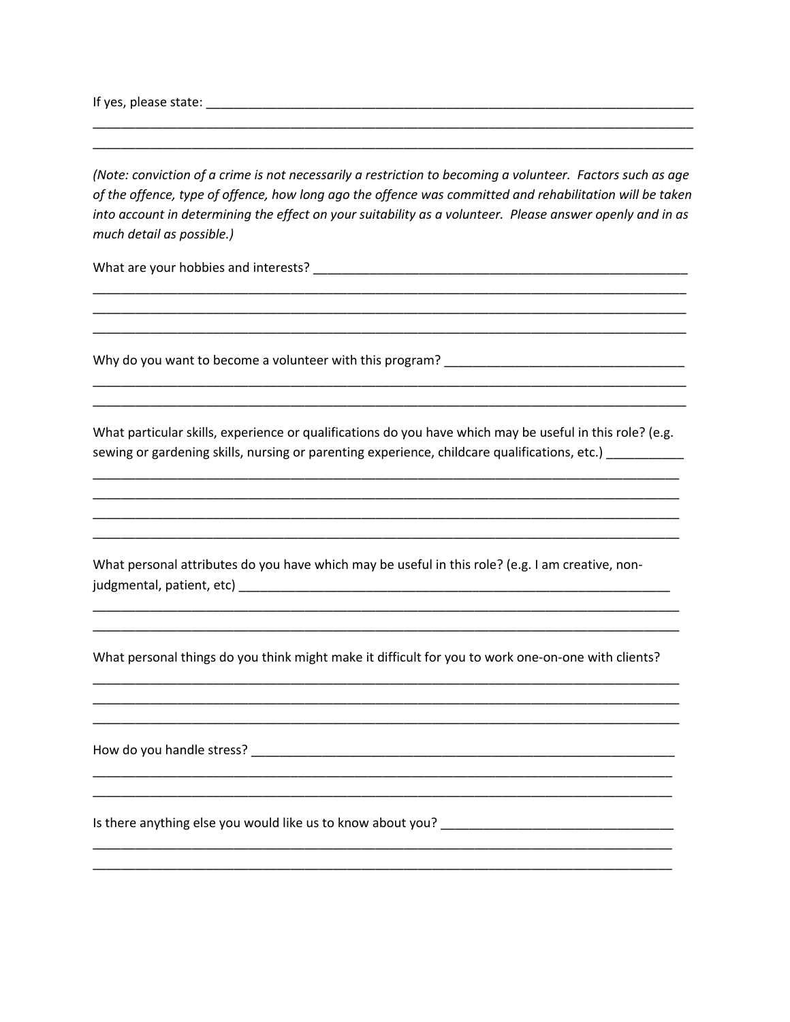If yes, please state: experience and a state of the state of the state of the state of the state of the state of the state of the state of the state of the state of the state of the state of the state of the state of the s

(Note: conviction of a crime is not necessarily a restriction to becoming a volunteer. Factors such as age of the offence, type of offence, how long ago the offence was committed and rehabilitation will be taken into account in determining the effect on your suitability as a volunteer. Please answer openly and in as much detail as possible.)

What are your hobbies and interests?

What particular skills, experience or qualifications do you have which may be useful in this role? (e.g. sewing or gardening skills, nursing or parenting experience, childcare qualifications, etc.) \_\_\_\_\_\_\_\_\_\_\_

What personal attributes do you have which may be useful in this role? (e.g. I am creative, non-

What personal things do you think might make it difficult for you to work one-on-one with clients?

Is there anything else you would like us to know about you?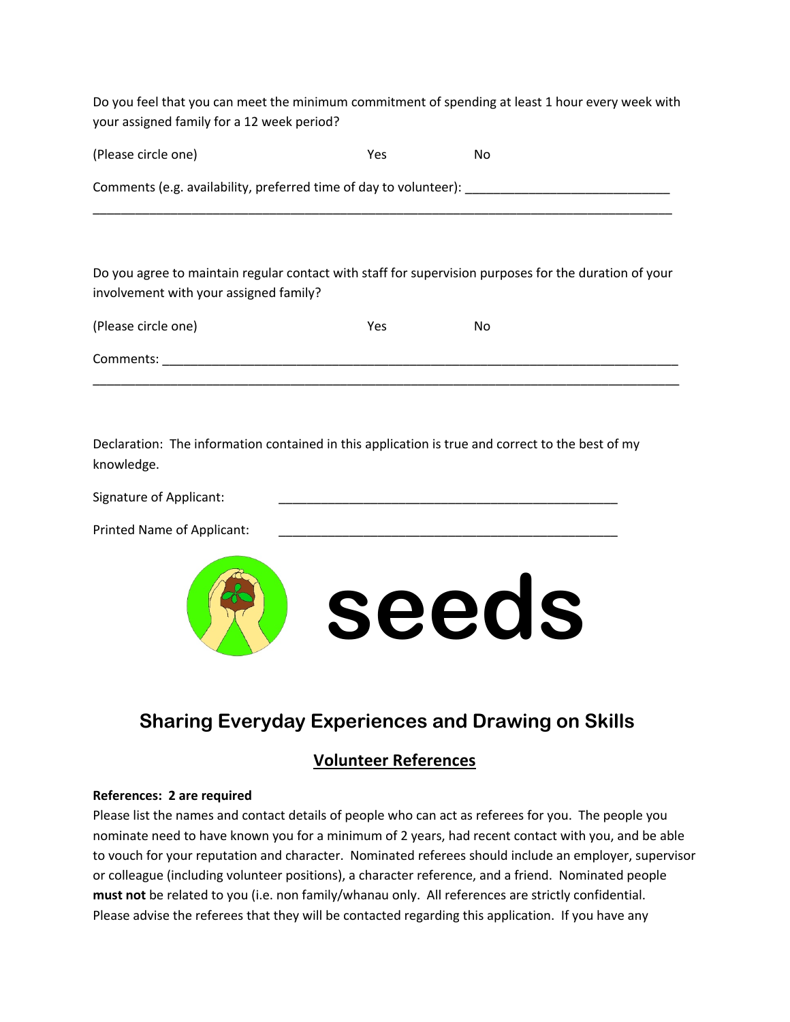Do you feel that you can meet the minimum commitment of spending at least 1 hour every week with your assigned family for a 12 week period?

| (Please circle one)                                               | Yes | Nο |  |  |
|-------------------------------------------------------------------|-----|----|--|--|
| Comments (e.g. availability, preferred time of day to volunteer): |     |    |  |  |

Do you agree to maintain regular contact with staff for supervision purposes for the duration of your involvement with your assigned family?

| (Please circle one) | Yes | No |
|---------------------|-----|----|
| Comments:           |     |    |

Declaration: The information contained in this application is true and correct to the best of my knowledge.

| Signature of Applicant:    |  |
|----------------------------|--|
| Printed Name of Applicant: |  |



# **Sharing Everyday Experiences and Drawing on Skills**

## **Volunteer References**

#### **References: 2 are required**

Please list the names and contact details of people who can act as referees for you. The people you nominate need to have known you for a minimum of 2 years, had recent contact with you, and be able to vouch for your reputation and character. Nominated referees should include an employer, supervisor or colleague (including volunteer positions), a character reference, and a friend. Nominated people **must not** be related to you (i.e. non family/whanau only. All references are strictly confidential. Please advise the referees that they will be contacted regarding this application. If you have any